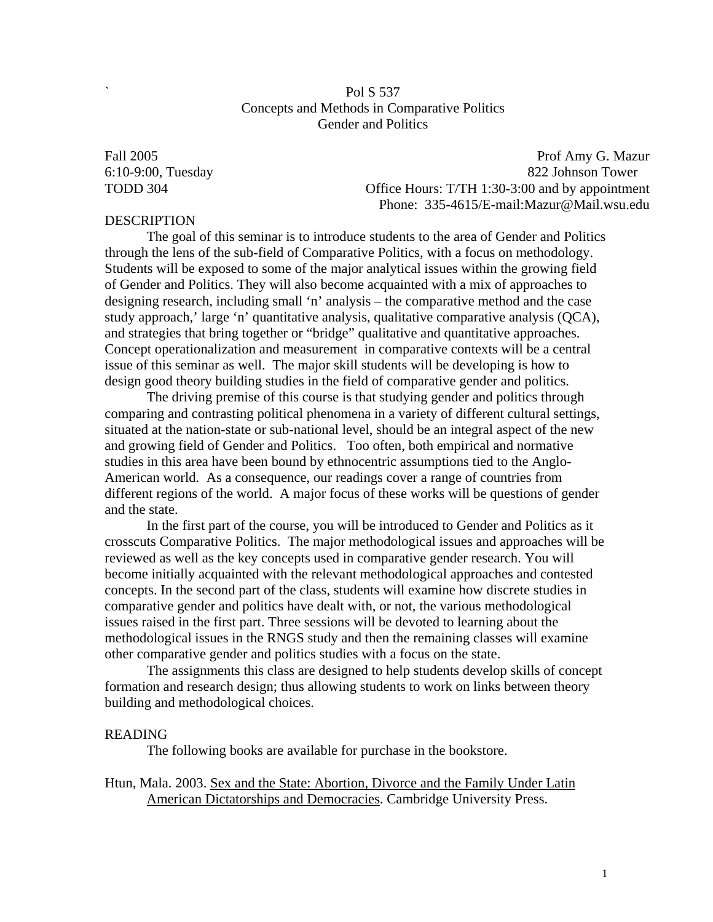## Pol S 537 Concepts and Methods in Comparative Politics Gender and Politics

Fall 2005 Prof Amy G. Mazur 6:10-9:00, Tuesday 822 Johnson Tower TODD 304 **Office Hours: T/TH 1:30-3:00 and by appointment** Phone: 335-4615/E-mail:Mazur@Mail.wsu.edu

## **DESCRIPTION**

The goal of this seminar is to introduce students to the area of Gender and Politics through the lens of the sub-field of Comparative Politics, with a focus on methodology. Students will be exposed to some of the major analytical issues within the growing field of Gender and Politics. They will also become acquainted with a mix of approaches to designing research, including small 'n' analysis – the comparative method and the case study approach,' large 'n' quantitative analysis, qualitative comparative analysis (QCA), and strategies that bring together or "bridge" qualitative and quantitative approaches. Concept operationalization and measurement in comparative contexts will be a central issue of this seminar as well. The major skill students will be developing is how to design good theory building studies in the field of comparative gender and politics.

The driving premise of this course is that studying gender and politics through comparing and contrasting political phenomena in a variety of different cultural settings, situated at the nation-state or sub-national level, should be an integral aspect of the new and growing field of Gender and Politics. Too often, both empirical and normative studies in this area have been bound by ethnocentric assumptions tied to the Anglo-American world. As a consequence, our readings cover a range of countries from different regions of the world. A major focus of these works will be questions of gender and the state.

In the first part of the course, you will be introduced to Gender and Politics as it crosscuts Comparative Politics. The major methodological issues and approaches will be reviewed as well as the key concepts used in comparative gender research. You will become initially acquainted with the relevant methodological approaches and contested concepts. In the second part of the class, students will examine how discrete studies in comparative gender and politics have dealt with, or not, the various methodological issues raised in the first part. Three sessions will be devoted to learning about the methodological issues in the RNGS study and then the remaining classes will examine other comparative gender and politics studies with a focus on the state.

The assignments this class are designed to help students develop skills of concept formation and research design; thus allowing students to work on links between theory building and methodological choices.

#### READING

The following books are available for purchase in the bookstore.

Htun, Mala. 2003. Sex and the State: Abortion, Divorce and the Family Under Latin American Dictatorships and Democracies. Cambridge University Press.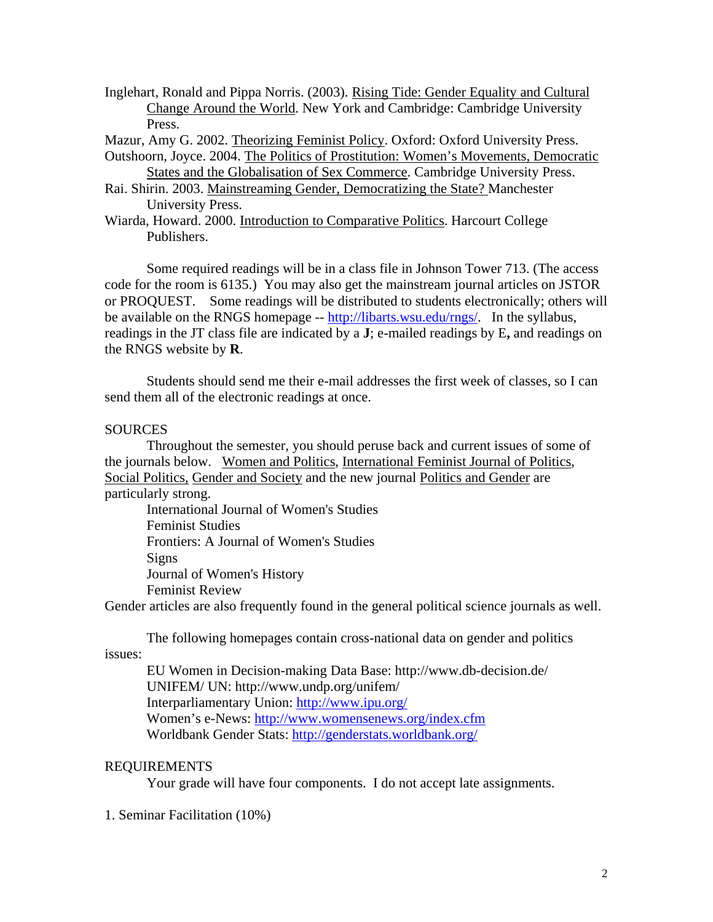Inglehart, Ronald and Pippa Norris. (2003). Rising Tide: Gender Equality and Cultural Change Around the World. New York and Cambridge: Cambridge University Press.

Mazur, Amy G. 2002. Theorizing Feminist Policy. Oxford: Oxford University Press.

- Outshoorn, Joyce. 2004. The Politics of Prostitution: Women's Movements, Democratic States and the Globalisation of Sex Commerce. Cambridge University Press.
- Rai. Shirin. 2003. Mainstreaming Gender, Democratizing the State? Manchester University Press.
- Wiarda, Howard. 2000. Introduction to Comparative Politics. Harcourt College Publishers.

Some required readings will be in a class file in Johnson Tower 713. (The access code for the room is 6135.) You may also get the mainstream journal articles on JSTOR or PROQUEST. Some readings will be distributed to students electronically; others will be available on the RNGS homepage -- <http://libarts.wsu.edu/rngs/>. In the syllabus, readings in the JT class file are indicated by a **J**; e-mailed readings by E**,** and readings on the RNGS website by **R**.

Students should send me their e-mail addresses the first week of classes, so I can send them all of the electronic readings at once.

## **SOURCES**

Throughout the semester, you should peruse back and current issues of some of the journals below. Women and Politics, International Feminist Journal of Politics, Social Politics, Gender and Society and the new journal Politics and Gender are particularly strong.

International Journal of Women's Studies Feminist Studies Frontiers: A Journal of Women's Studies Signs Journal of Women's History Feminist Review

Gender articles are also frequently found in the general political science journals as well.

The following homepages contain cross-national data on gender and politics

issues:

EU Women in Decision-making Data Base: http://www.db-decision.de/ UNIFEM/ UN: http://www.undp.org/unifem/ Interparliamentary Union: <http://www.ipu.org/>

Women's e-News: <http://www.womensenews.org/index.cfm>

Worldbank Gender Stats:<http://genderstats.worldbank.org/>

## REQUIREMENTS

Your grade will have four components. I do not accept late assignments.

1. Seminar Facilitation (10%)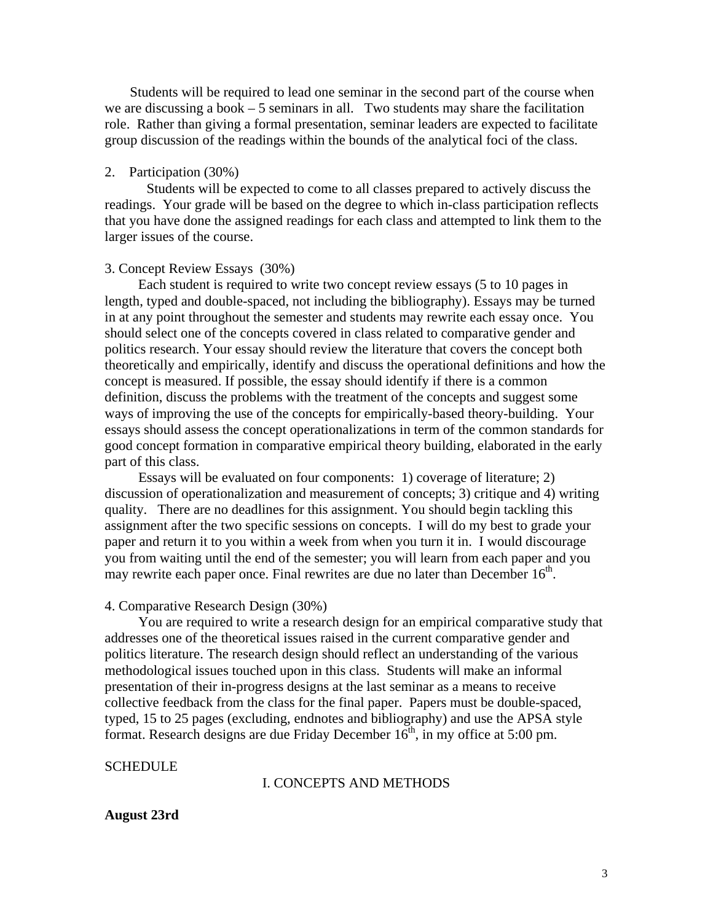Students will be required to lead one seminar in the second part of the course when we are discussing a book – 5 seminars in all. Two students may share the facilitation role. Rather than giving a formal presentation, seminar leaders are expected to facilitate group discussion of the readings within the bounds of the analytical foci of the class.

## 2. Participation (30%)

Students will be expected to come to all classes prepared to actively discuss the readings. Your grade will be based on the degree to which in-class participation reflects that you have done the assigned readings for each class and attempted to link them to the larger issues of the course.

### 3. Concept Review Essays (30%)

 Each student is required to write two concept review essays (5 to 10 pages in length, typed and double-spaced, not including the bibliography). Essays may be turned in at any point throughout the semester and students may rewrite each essay once. You should select one of the concepts covered in class related to comparative gender and politics research. Your essay should review the literature that covers the concept both theoretically and empirically, identify and discuss the operational definitions and how the concept is measured. If possible, the essay should identify if there is a common definition, discuss the problems with the treatment of the concepts and suggest some ways of improving the use of the concepts for empirically-based theory-building. Your essays should assess the concept operationalizations in term of the common standards for good concept formation in comparative empirical theory building, elaborated in the early part of this class.

 Essays will be evaluated on four components: 1) coverage of literature; 2) discussion of operationalization and measurement of concepts; 3) critique and 4) writing quality. There are no deadlines for this assignment. You should begin tackling this assignment after the two specific sessions on concepts. I will do my best to grade your paper and return it to you within a week from when you turn it in. I would discourage you from waiting until the end of the semester; you will learn from each paper and you may rewrite each paper once. Final rewrites are due no later than December  $16<sup>th</sup>$ .

#### 4. Comparative Research Design (30%)

You are required to write a research design for an empirical comparative study that addresses one of the theoretical issues raised in the current comparative gender and politics literature. The research design should reflect an understanding of the various methodological issues touched upon in this class. Students will make an informal presentation of their in-progress designs at the last seminar as a means to receive collective feedback from the class for the final paper. Papers must be double-spaced, typed, 15 to 25 pages (excluding, endnotes and bibliography) and use the APSA style format. Research designs are due Friday December  $16<sup>th</sup>$ , in my office at 5:00 pm.

#### **SCHEDULE**

## I. CONCEPTS AND METHODS

### **August 23rd**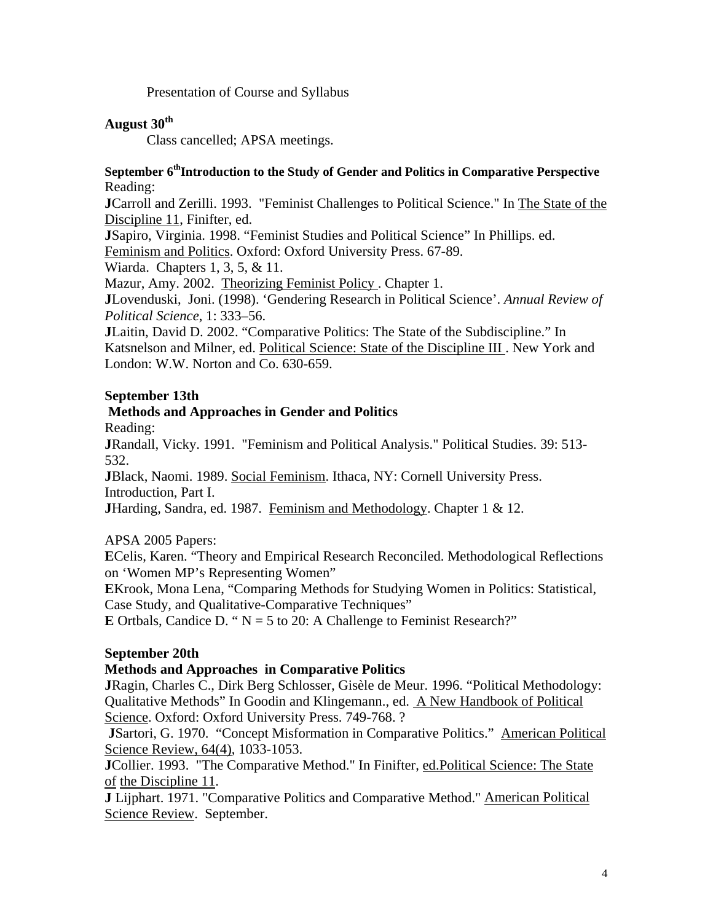Presentation of Course and Syllabus

# **August 30th**

Class cancelled; APSA meetings.

## September 6<sup>th</sup>Introduction to the Study of Gender and Politics in Comparative Perspective Reading:

**J**Carroll and Zerilli. 1993. "Feminist Challenges to Political Science." In The State of the Discipline 11, Finifter, ed.

**J**Sapiro, Virginia. 1998. "Feminist Studies and Political Science" In Phillips. ed. Feminism and Politics. Oxford: Oxford University Press. 67-89.

Wiarda. Chapters 1, 3, 5, & 11.

Mazur, Amy. 2002. Theorizing Feminist Policy . Chapter 1.

**J**Lovenduski, Joni. (1998). 'Gendering Research in Political Science'. *Annual Review of Political Science*, 1: 333–56.

**J**Laitin, David D. 2002. "Comparative Politics: The State of the Subdiscipline." In Katsnelson and Milner, ed. Political Science: State of the Discipline III . New York and London: W.W. Norton and Co. 630-659.

# **September 13th**

# **Methods and Approaches in Gender and Politics**

Reading:

**J**Randall, Vicky. 1991. "Feminism and Political Analysis." Political Studies. 39: 513- 532.

**J**Black, Naomi. 1989. Social Feminism. Ithaca, NY: Cornell University Press. Introduction, Part I.

**JHarding, Sandra, ed. 1987.** Feminism and Methodology. Chapter 1 & 12.

APSA 2005 Papers:

**E**Celis, Karen. "Theory and Empirical Research Reconciled. Methodological Reflections on 'Women MP's Representing Women"

**E**Krook, Mona Lena, "Comparing Methods for Studying Women in Politics: Statistical, Case Study, and Qualitative-Comparative Techniques"

**E** Ortbals, Candice D. " $N = 5$  to 20: A Challenge to Feminist Research?"

# **September 20th**

# **Methods and Approaches in Comparative Politics**

**J**Ragin, Charles C., Dirk Berg Schlosser, Gisèle de Meur. 1996. "Political Methodology: Qualitative Methods" In Goodin and Klingemann., ed. A New Handbook of Political Science. Oxford: Oxford University Press. 749-768. ?

**J**Sartori, G. 1970. "Concept Misformation in Comparative Politics." American Political Science Review, 64(4), 1033-1053.

**J**Collier. 1993. "The Comparative Method." In Finifter, ed.Political Science: The State of the Discipline 11.

**J** Lijphart. 1971. "Comparative Politics and Comparative Method." American Political Science Review. September.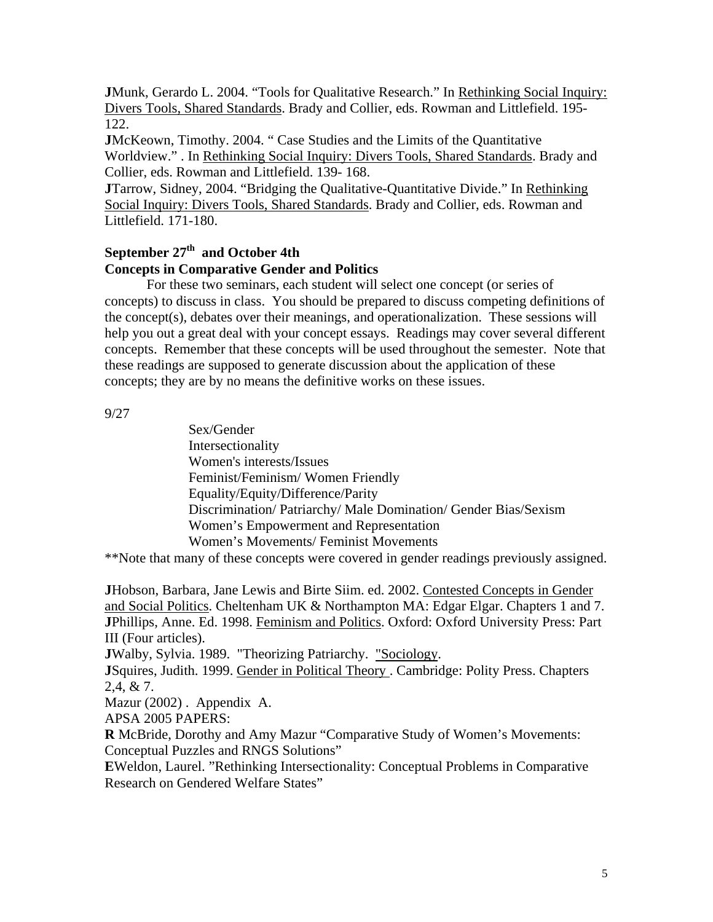**J**Munk, Gerardo L. 2004. "Tools for Qualitative Research." In Rethinking Social Inquiry: Divers Tools, Shared Standards. Brady and Collier, eds. Rowman and Littlefield. 195- 122.

**J**McKeown, Timothy. 2004. " Case Studies and the Limits of the Quantitative Worldview." . In Rethinking Social Inquiry: Divers Tools, Shared Standards. Brady and Collier, eds. Rowman and Littlefield. 139- 168.

**J**Tarrow, Sidney, 2004. "Bridging the Qualitative-Quantitative Divide." In Rethinking Social Inquiry: Divers Tools, Shared Standards. Brady and Collier, eds. Rowman and Littlefield. 171-180.

# September 27<sup>th</sup> and October 4th **Concepts in Comparative Gender and Politics**

For these two seminars, each student will select one concept (or series of concepts) to discuss in class. You should be prepared to discuss competing definitions of the concept(s), debates over their meanings, and operationalization. These sessions will help you out a great deal with your concept essays. Readings may cover several different concepts. Remember that these concepts will be used throughout the semester. Note that these readings are supposed to generate discussion about the application of these concepts; they are by no means the definitive works on these issues.

9/27

Sex/Gender Intersectionality Women's interests/Issues Feminist/Feminism/ Women Friendly Equality/Equity/Difference/Parity Discrimination/ Patriarchy/ Male Domination/ Gender Bias/Sexism Women's Empowerment and Representation Women's Movements/ Feminist Movements

\*\*Note that many of these concepts were covered in gender readings previously assigned.

**J**Hobson, Barbara, Jane Lewis and Birte Siim. ed. 2002. Contested Concepts in Gender and Social Politics. Cheltenham UK & Northampton MA: Edgar Elgar. Chapters 1 and 7. **J**Phillips, Anne. Ed. 1998. Feminism and Politics. Oxford: Oxford University Press: Part III (Four articles).

**J**Walby, Sylvia. 1989. "Theorizing Patriarchy. "Sociology.

**J**Squires, Judith. 1999. Gender in Political Theory . Cambridge: Polity Press. Chapters 2,4, & 7.

Mazur (2002) . Appendix A.

APSA 2005 PAPERS:

**R** McBride, Dorothy and Amy Mazur "Comparative Study of Women's Movements: Conceptual Puzzles and RNGS Solutions"

**E**Weldon, Laurel. "Rethinking Intersectionality: Conceptual Problems in Comparative Research on Gendered Welfare States"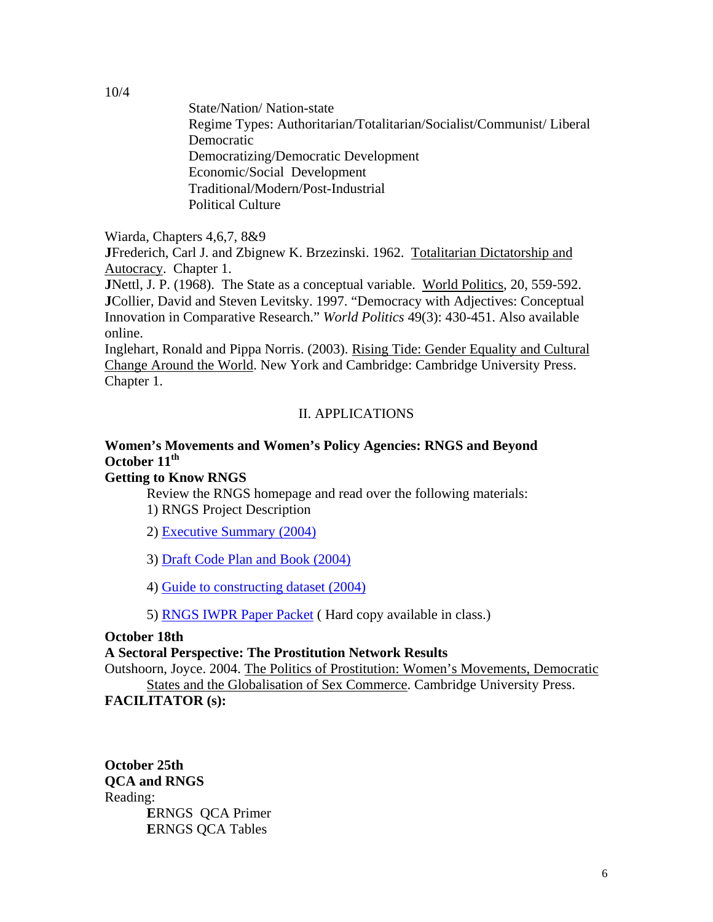State/Nation/ Nation-state Regime Types: Authoritarian/Totalitarian/Socialist/Communist/ Liberal Democratic Democratizing/Democratic Development Economic/Social Development Traditional/Modern/Post-Industrial Political Culture

Wiarda, Chapters 4,6,7, 8&9

**J**Frederich, Carl J. and Zbignew K. Brzezinski. 1962. Totalitarian Dictatorship and Autocracy. Chapter 1.

**J**Nettl, J. P. (1968). The State as a conceptual variable. World Politics, 20, 559-592. **J**Collier, David and Steven Levitsky. 1997. "Democracy with Adjectives: Conceptual Innovation in Comparative Research." *World Politics* 49(3): 430-451. Also available online.

Inglehart, Ronald and Pippa Norris. (2003). Rising Tide: Gender Equality and Cultural Change Around the World. New York and Cambridge: Cambridge University Press. Chapter 1.

# II. APPLICATIONS

# **Women's Movements and Women's Policy Agencies: RNGS and Beyond October 11<sup>th</sup>**

# **Getting to Know RNGS**

 Review the RNGS homepage and read over the following materials: 1) RNGS Project Description

2) [Executive Summary \(2004\)](http://libarts.wsu.edu/polisci/rngs/pdf/executiveprojectsummary304.pdf) 

3) [Draft Code Plan and Book \(2004\)](http://libarts.wsu.edu/polisci/rngs/pdf/codebook1004.pdf)

4) [Guide to constructing dataset \(2004\)](http://libarts.wsu.edu/polisci/rngs/pdf/precisofdataset.pdf)

5) [RNGS IWPR Paper Packet](http://libarts.wsu.edu/polisci/rngs/pdf/RNGS-IWPR-papers.pdf) ( Hard copy available in class.)

## **October 18th**

## **A Sectoral Perspective: The Prostitution Network Results**

Outshoorn, Joyce. 2004. The Politics of Prostitution: Women's Movements, Democratic

States and the Globalisation of Sex Commerce. Cambridge University Press. **FACILITATOR (s):** 

**October 25th QCA and RNGS**  Reading: **E**RNGS QCA Primer **E**RNGS QCA Tables

10/4